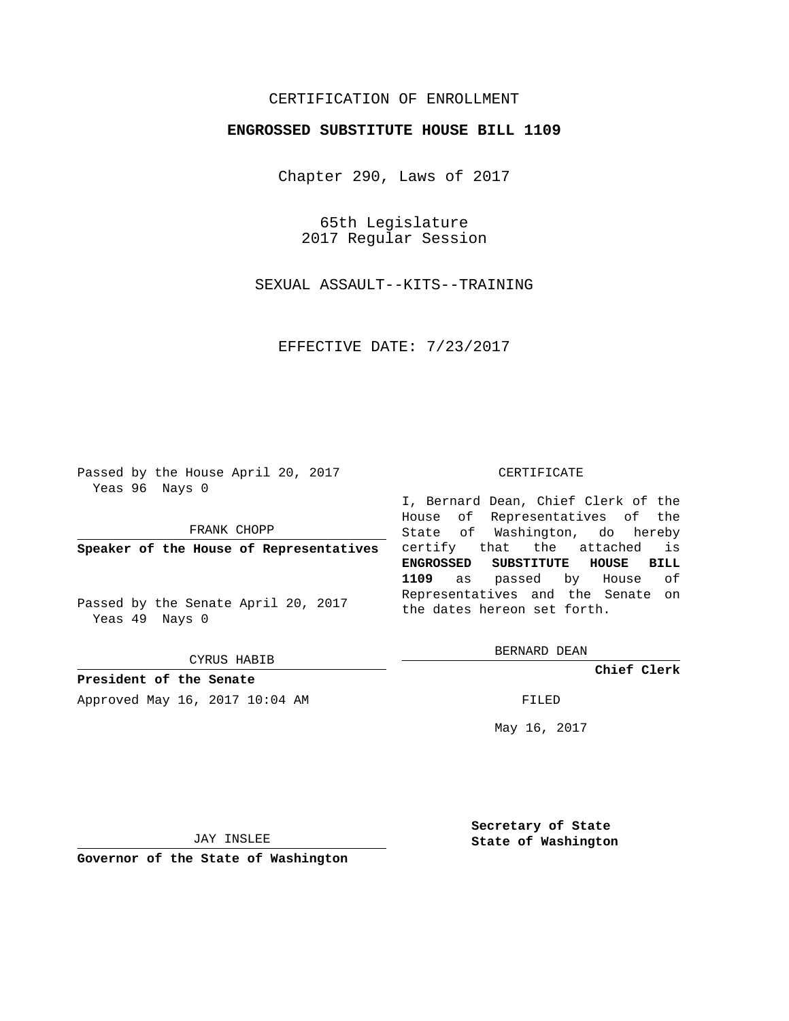## CERTIFICATION OF ENROLLMENT

### **ENGROSSED SUBSTITUTE HOUSE BILL 1109**

Chapter 290, Laws of 2017

65th Legislature 2017 Regular Session

SEXUAL ASSAULT--KITS--TRAINING

EFFECTIVE DATE: 7/23/2017

Passed by the House April 20, 2017 Yeas 96 Nays 0

FRANK CHOPP

**Speaker of the House of Representatives**

Passed by the Senate April 20, 2017 Yeas 49 Nays 0

CYRUS HABIB

**President of the Senate**

Approved May 16, 2017 10:04 AM FILED

#### CERTIFICATE

I, Bernard Dean, Chief Clerk of the House of Representatives of the State of Washington, do hereby certify that the attached is **ENGROSSED SUBSTITUTE HOUSE BILL 1109** as passed by House of Representatives and the Senate on the dates hereon set forth.

BERNARD DEAN

**Chief Clerk**

May 16, 2017

JAY INSLEE

**Governor of the State of Washington**

**Secretary of State State of Washington**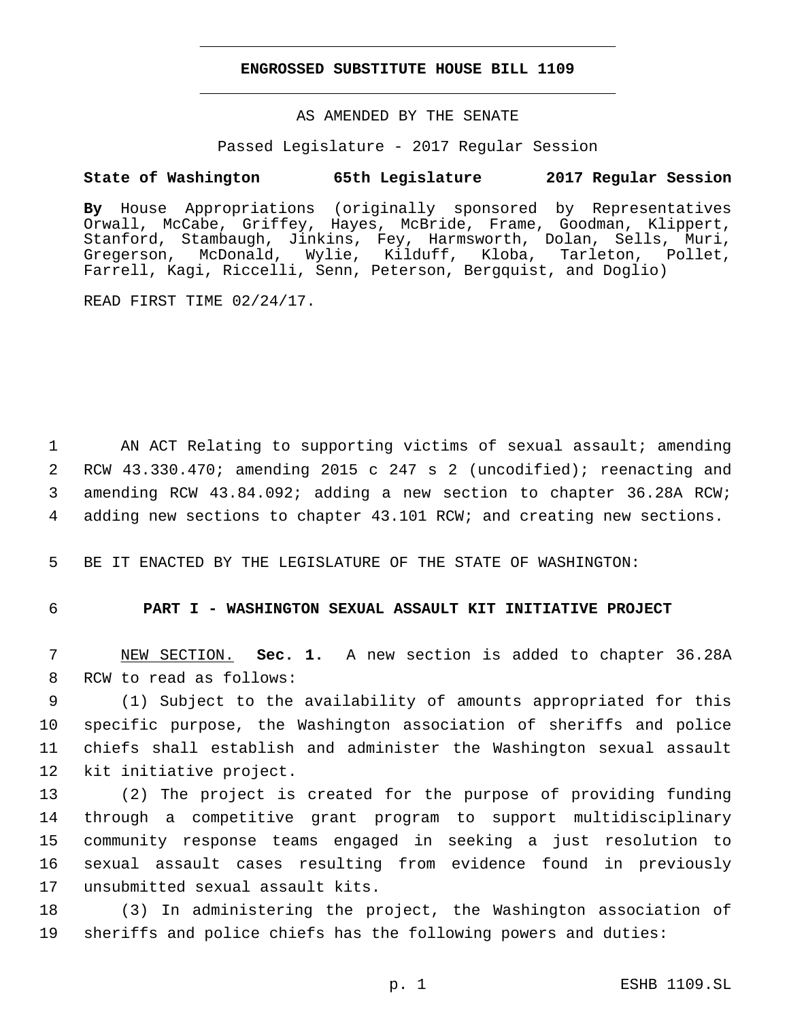#### **ENGROSSED SUBSTITUTE HOUSE BILL 1109**

AS AMENDED BY THE SENATE

Passed Legislature - 2017 Regular Session

# **State of Washington 65th Legislature 2017 Regular Session**

**By** House Appropriations (originally sponsored by Representatives Orwall, McCabe, Griffey, Hayes, McBride, Frame, Goodman, Klippert, Stanford, Stambaugh, Jinkins, Fey, Harmsworth, Dolan, Sells, Muri, Gregerson, McDonald, Wylie, Kilduff, Kloba, Tarleton, Pollet, Farrell, Kagi, Riccelli, Senn, Peterson, Bergquist, and Doglio)

READ FIRST TIME 02/24/17.

1 AN ACT Relating to supporting victims of sexual assault; amending RCW 43.330.470; amending 2015 c 247 s 2 (uncodified); reenacting and amending RCW 43.84.092; adding a new section to chapter 36.28A RCW; adding new sections to chapter 43.101 RCW; and creating new sections.

5 BE IT ENACTED BY THE LEGISLATURE OF THE STATE OF WASHINGTON:

### 6 **PART I - WASHINGTON SEXUAL ASSAULT KIT INITIATIVE PROJECT**

7 NEW SECTION. **Sec. 1.** A new section is added to chapter 36.28A 8 RCW to read as follows:

 (1) Subject to the availability of amounts appropriated for this specific purpose, the Washington association of sheriffs and police chiefs shall establish and administer the Washington sexual assault 12 kit initiative project.

 (2) The project is created for the purpose of providing funding through a competitive grant program to support multidisciplinary community response teams engaged in seeking a just resolution to sexual assault cases resulting from evidence found in previously 17 unsubmitted sexual assault kits.

18 (3) In administering the project, the Washington association of 19 sheriffs and police chiefs has the following powers and duties: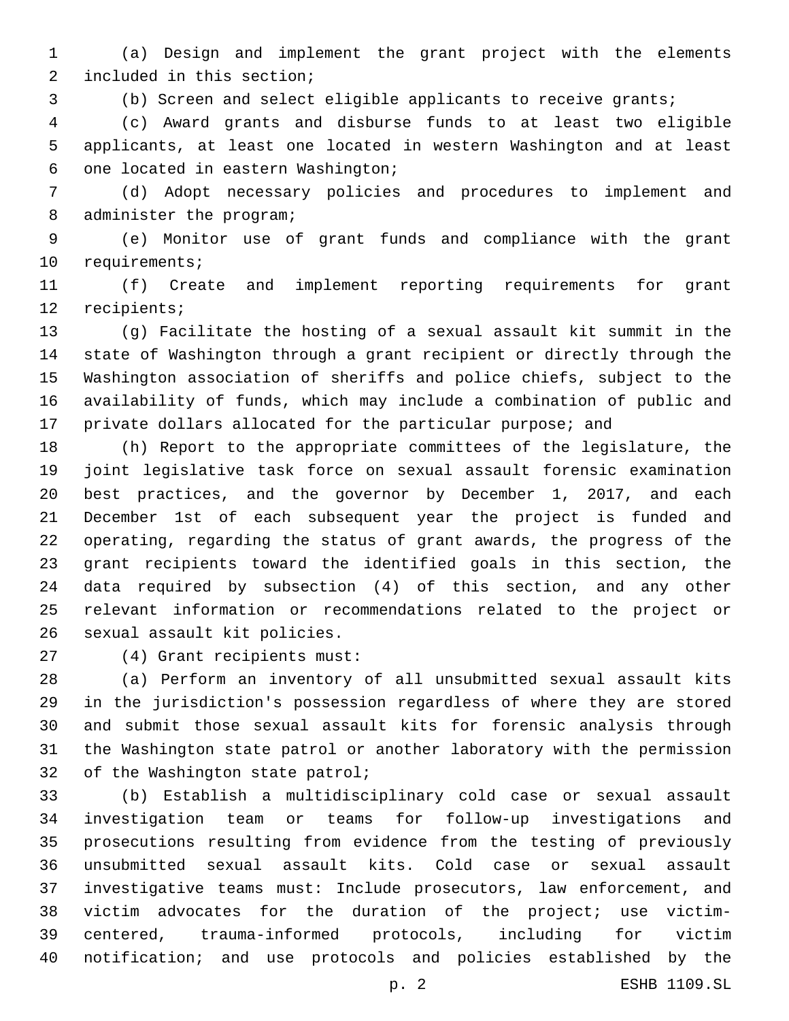(a) Design and implement the grant project with the elements 2 included in this section;

(b) Screen and select eligible applicants to receive grants;

 (c) Award grants and disburse funds to at least two eligible applicants, at least one located in western Washington and at least 6 one located in eastern Washington;

 (d) Adopt necessary policies and procedures to implement and 8 administer the program;

 (e) Monitor use of grant funds and compliance with the grant 10 requirements;

 (f) Create and implement reporting requirements for grant 12 recipients;

 (g) Facilitate the hosting of a sexual assault kit summit in the state of Washington through a grant recipient or directly through the Washington association of sheriffs and police chiefs, subject to the availability of funds, which may include a combination of public and private dollars allocated for the particular purpose; and

 (h) Report to the appropriate committees of the legislature, the joint legislative task force on sexual assault forensic examination best practices, and the governor by December 1, 2017, and each December 1st of each subsequent year the project is funded and operating, regarding the status of grant awards, the progress of the grant recipients toward the identified goals in this section, the data required by subsection (4) of this section, and any other relevant information or recommendations related to the project or 26 sexual assault kit policies.

(4) Grant recipients must:27

 (a) Perform an inventory of all unsubmitted sexual assault kits in the jurisdiction's possession regardless of where they are stored and submit those sexual assault kits for forensic analysis through the Washington state patrol or another laboratory with the permission 32 of the Washington state patrol;

 (b) Establish a multidisciplinary cold case or sexual assault investigation team or teams for follow-up investigations and prosecutions resulting from evidence from the testing of previously unsubmitted sexual assault kits. Cold case or sexual assault investigative teams must: Include prosecutors, law enforcement, and victim advocates for the duration of the project; use victim- centered, trauma-informed protocols, including for victim notification; and use protocols and policies established by the

p. 2 ESHB 1109.SL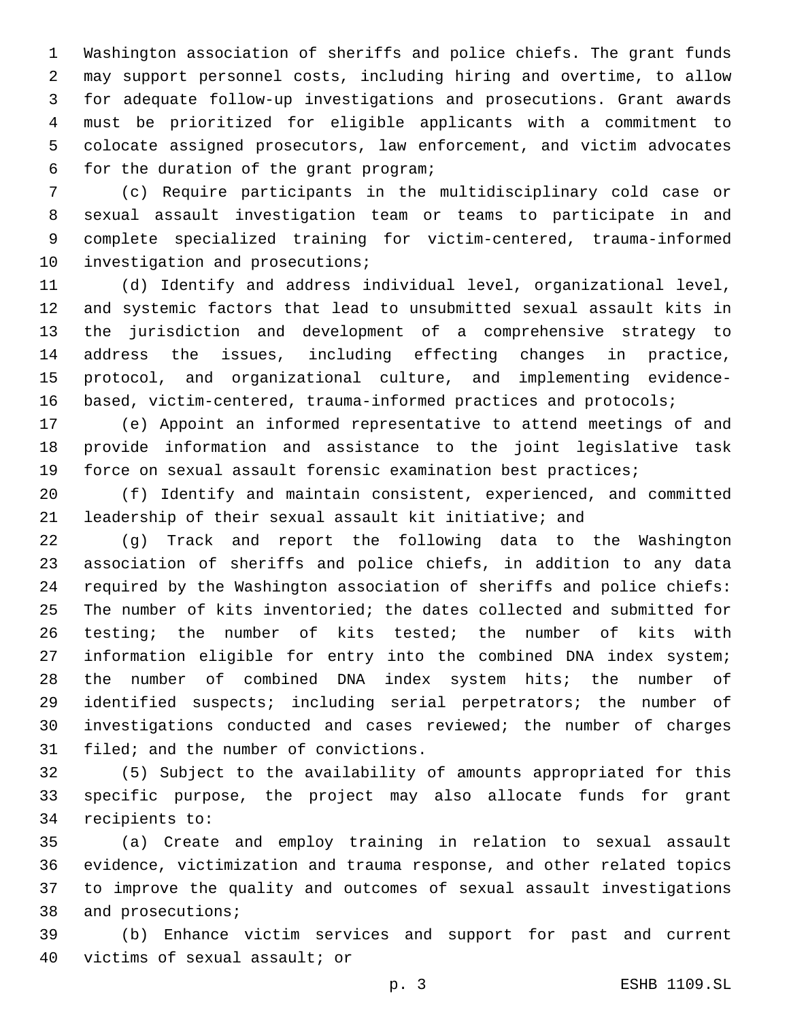Washington association of sheriffs and police chiefs. The grant funds may support personnel costs, including hiring and overtime, to allow for adequate follow-up investigations and prosecutions. Grant awards must be prioritized for eligible applicants with a commitment to colocate assigned prosecutors, law enforcement, and victim advocates 6 for the duration of the grant program;

 (c) Require participants in the multidisciplinary cold case or sexual assault investigation team or teams to participate in and complete specialized training for victim-centered, trauma-informed 10 investigation and prosecutions;

 (d) Identify and address individual level, organizational level, and systemic factors that lead to unsubmitted sexual assault kits in the jurisdiction and development of a comprehensive strategy to address the issues, including effecting changes in practice, protocol, and organizational culture, and implementing evidence-16 based, victim-centered, trauma-informed practices and protocols;

 (e) Appoint an informed representative to attend meetings of and provide information and assistance to the joint legislative task force on sexual assault forensic examination best practices;

 (f) Identify and maintain consistent, experienced, and committed leadership of their sexual assault kit initiative; and

 (g) Track and report the following data to the Washington association of sheriffs and police chiefs, in addition to any data required by the Washington association of sheriffs and police chiefs: The number of kits inventoried; the dates collected and submitted for testing; the number of kits tested; the number of kits with information eligible for entry into the combined DNA index system; the number of combined DNA index system hits; the number of identified suspects; including serial perpetrators; the number of investigations conducted and cases reviewed; the number of charges 31 filed; and the number of convictions.

 (5) Subject to the availability of amounts appropriated for this specific purpose, the project may also allocate funds for grant 34 recipients to:

 (a) Create and employ training in relation to sexual assault evidence, victimization and trauma response, and other related topics to improve the quality and outcomes of sexual assault investigations 38 and prosecutions;

 (b) Enhance victim services and support for past and current 40 victims of sexual assault; or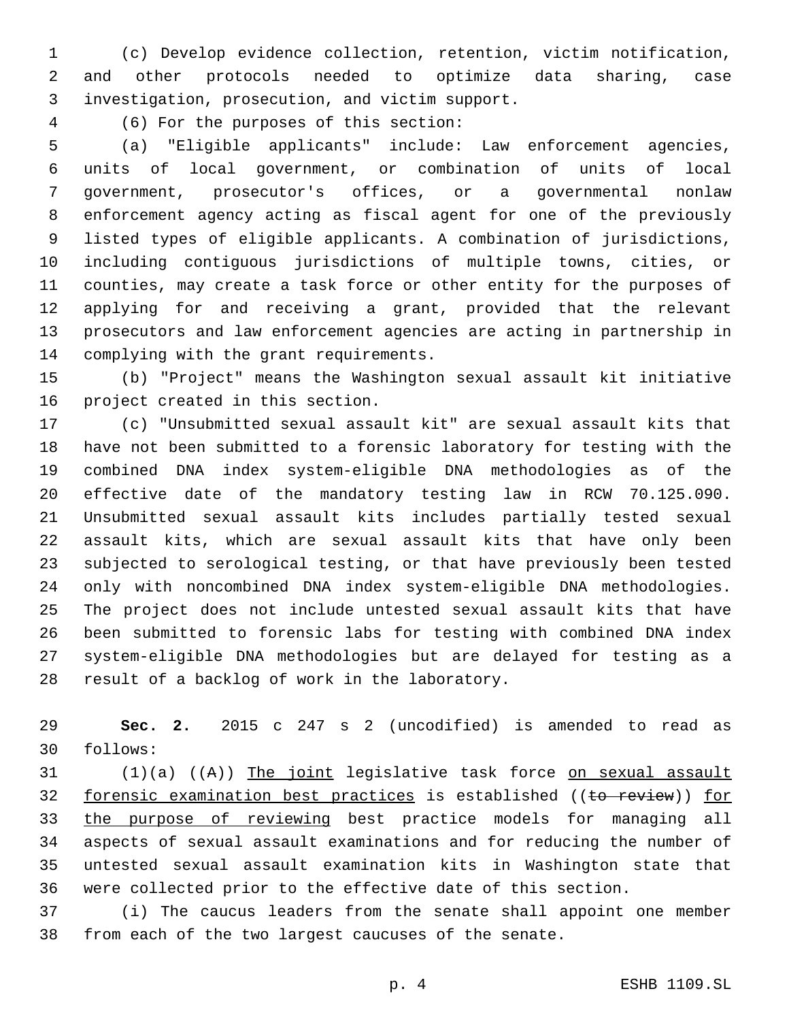(c) Develop evidence collection, retention, victim notification, and other protocols needed to optimize data sharing, case investigation, prosecution, and victim support.3

(6) For the purposes of this section:4

 (a) "Eligible applicants" include: Law enforcement agencies, units of local government, or combination of units of local government, prosecutor's offices, or a governmental nonlaw enforcement agency acting as fiscal agent for one of the previously listed types of eligible applicants. A combination of jurisdictions, including contiguous jurisdictions of multiple towns, cities, or counties, may create a task force or other entity for the purposes of applying for and receiving a grant, provided that the relevant prosecutors and law enforcement agencies are acting in partnership in 14 complying with the grant requirements.

 (b) "Project" means the Washington sexual assault kit initiative 16 project created in this section.

 (c) "Unsubmitted sexual assault kit" are sexual assault kits that have not been submitted to a forensic laboratory for testing with the combined DNA index system-eligible DNA methodologies as of the effective date of the mandatory testing law in RCW 70.125.090. Unsubmitted sexual assault kits includes partially tested sexual assault kits, which are sexual assault kits that have only been subjected to serological testing, or that have previously been tested only with noncombined DNA index system-eligible DNA methodologies. The project does not include untested sexual assault kits that have been submitted to forensic labs for testing with combined DNA index system-eligible DNA methodologies but are delayed for testing as a 28 result of a backlog of work in the laboratory.

 **Sec. 2.** 2015 c 247 s 2 (uncodified) is amended to read as follows:30

 (1)(a) ((A)) The joint legislative task force on sexual assault 32 forensic examination best practices is established ((to review)) for the purpose of reviewing best practice models for managing all aspects of sexual assault examinations and for reducing the number of untested sexual assault examination kits in Washington state that were collected prior to the effective date of this section.

 (i) The caucus leaders from the senate shall appoint one member from each of the two largest caucuses of the senate.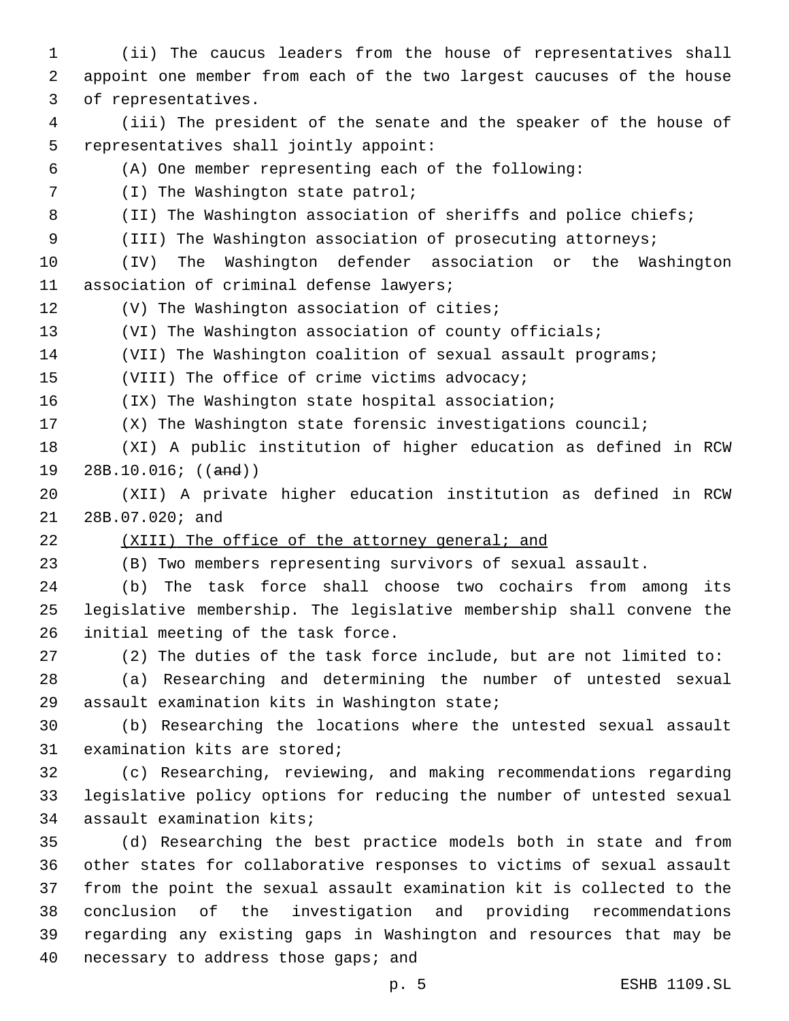(ii) The caucus leaders from the house of representatives shall appoint one member from each of the two largest caucuses of the house 3 of representatives. (iii) The president of the senate and the speaker of the house of 5 representatives shall jointly appoint: (A) One member representing each of the following: 7 (I) The Washington state patrol; 8 (II) The Washington association of sheriffs and police chiefs; (III) The Washington association of prosecuting attorneys; (IV) The Washington defender association or the Washington 11 association of criminal defense lawyers; 12 (V) The Washington association of cities; (VI) The Washington association of county officials; 14 (VII) The Washington coalition of sexual assault programs; 15 (VIII) The office of crime victims advocacy; (IX) The Washington state hospital association; (X) The Washington state forensic investigations council; (XI) A public institution of higher education as defined in RCW 19 28B.10.016; ((and)) (XII) A private higher education institution as defined in RCW 21 28B.07.020; and (XIII) The office of the attorney general; and (B) Two members representing survivors of sexual assault. (b) The task force shall choose two cochairs from among its legislative membership. The legislative membership shall convene the 26 initial meeting of the task force. (2) The duties of the task force include, but are not limited to: (a) Researching and determining the number of untested sexual 29 assault examination kits in Washington state; (b) Researching the locations where the untested sexual assault 31 examination kits are stored; (c) Researching, reviewing, and making recommendations regarding legislative policy options for reducing the number of untested sexual 34 assault examination kits; (d) Researching the best practice models both in state and from other states for collaborative responses to victims of sexual assault from the point the sexual assault examination kit is collected to the conclusion of the investigation and providing recommendations regarding any existing gaps in Washington and resources that may be 40 necessary to address those gaps; and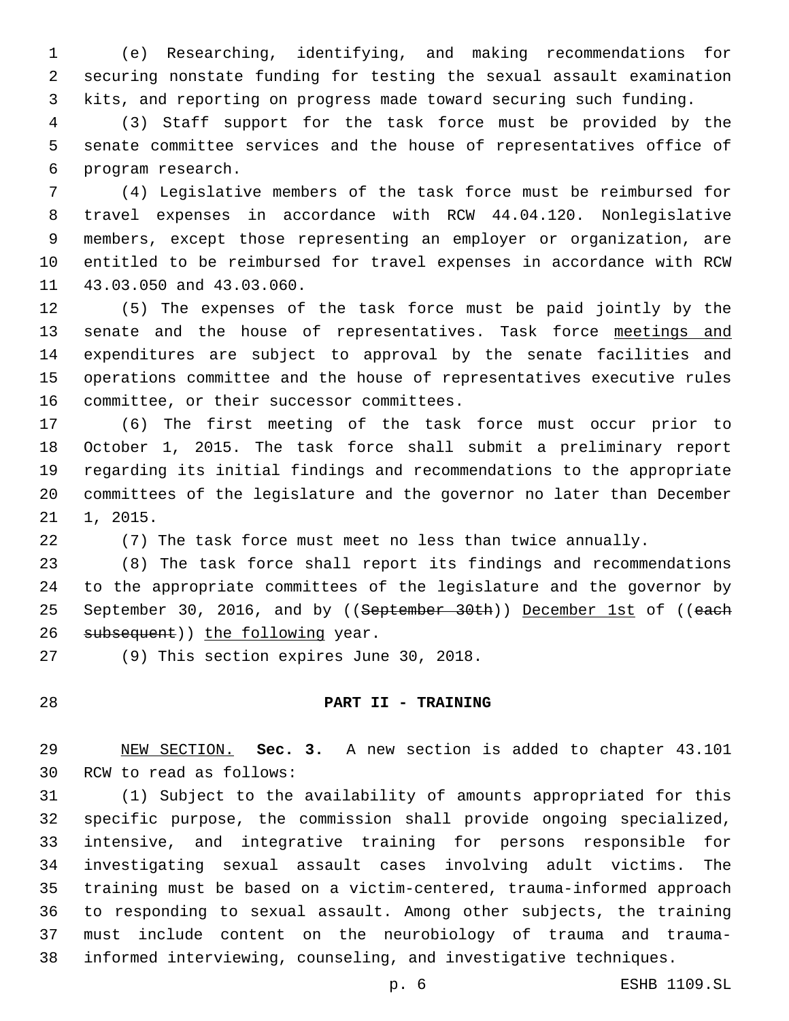(e) Researching, identifying, and making recommendations for securing nonstate funding for testing the sexual assault examination kits, and reporting on progress made toward securing such funding.

 (3) Staff support for the task force must be provided by the senate committee services and the house of representatives office of 6 program research.

 (4) Legislative members of the task force must be reimbursed for travel expenses in accordance with RCW 44.04.120. Nonlegislative members, except those representing an employer or organization, are entitled to be reimbursed for travel expenses in accordance with RCW 11 43.03.050 and 43.03.060.

 (5) The expenses of the task force must be paid jointly by the 13 senate and the house of representatives. Task force meetings and expenditures are subject to approval by the senate facilities and operations committee and the house of representatives executive rules 16 committee, or their successor committees.

 (6) The first meeting of the task force must occur prior to October 1, 2015. The task force shall submit a preliminary report regarding its initial findings and recommendations to the appropriate committees of the legislature and the governor no later than December 21, 2015.

(7) The task force must meet no less than twice annually.

 (8) The task force shall report its findings and recommendations to the appropriate committees of the legislature and the governor by 25 September 30, 2016, and by ((September 30th)) December 1st of ((each 26 subsequent)) the following year.

27 (9) This section expires June 30, 2018.

# **PART II - TRAINING**

 NEW SECTION. **Sec. 3.** A new section is added to chapter 43.101 30 RCW to read as follows:

 (1) Subject to the availability of amounts appropriated for this specific purpose, the commission shall provide ongoing specialized, intensive, and integrative training for persons responsible for investigating sexual assault cases involving adult victims. The training must be based on a victim-centered, trauma-informed approach to responding to sexual assault. Among other subjects, the training must include content on the neurobiology of trauma and trauma-informed interviewing, counseling, and investigative techniques.

p. 6 ESHB 1109.SL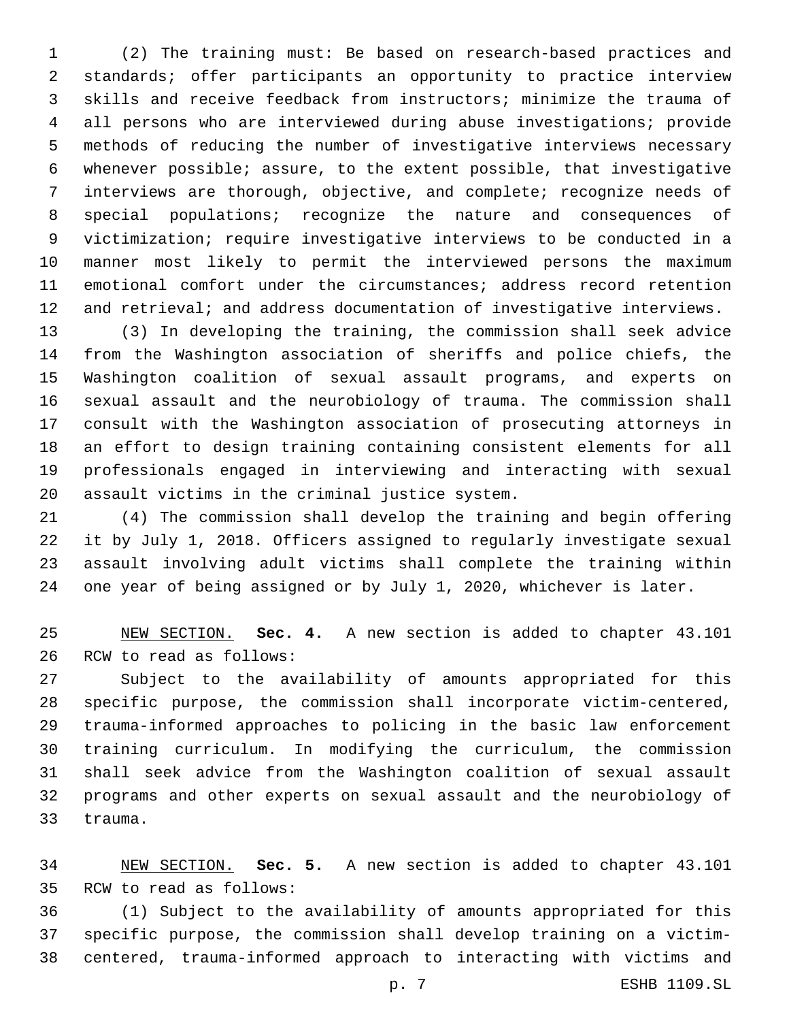(2) The training must: Be based on research-based practices and standards; offer participants an opportunity to practice interview skills and receive feedback from instructors; minimize the trauma of all persons who are interviewed during abuse investigations; provide methods of reducing the number of investigative interviews necessary whenever possible; assure, to the extent possible, that investigative interviews are thorough, objective, and complete; recognize needs of special populations; recognize the nature and consequences of victimization; require investigative interviews to be conducted in a manner most likely to permit the interviewed persons the maximum emotional comfort under the circumstances; address record retention and retrieval; and address documentation of investigative interviews.

 (3) In developing the training, the commission shall seek advice from the Washington association of sheriffs and police chiefs, the Washington coalition of sexual assault programs, and experts on sexual assault and the neurobiology of trauma. The commission shall consult with the Washington association of prosecuting attorneys in an effort to design training containing consistent elements for all professionals engaged in interviewing and interacting with sexual 20 assault victims in the criminal justice system.

 (4) The commission shall develop the training and begin offering it by July 1, 2018. Officers assigned to regularly investigate sexual assault involving adult victims shall complete the training within one year of being assigned or by July 1, 2020, whichever is later.

 NEW SECTION. **Sec. 4.** A new section is added to chapter 43.101 26 RCW to read as follows:

 Subject to the availability of amounts appropriated for this specific purpose, the commission shall incorporate victim-centered, trauma-informed approaches to policing in the basic law enforcement training curriculum. In modifying the curriculum, the commission shall seek advice from the Washington coalition of sexual assault programs and other experts on sexual assault and the neurobiology of 33 trauma.

 NEW SECTION. **Sec. 5.** A new section is added to chapter 43.101 35 RCW to read as follows:

 (1) Subject to the availability of amounts appropriated for this specific purpose, the commission shall develop training on a victim-centered, trauma-informed approach to interacting with victims and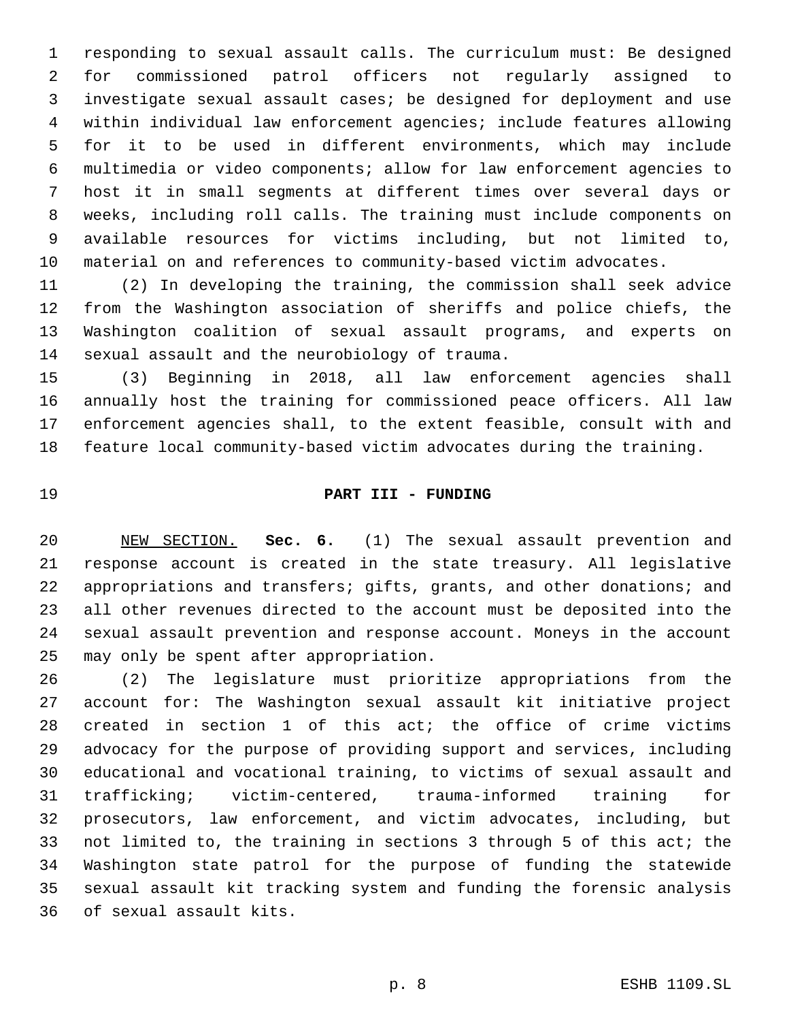responding to sexual assault calls. The curriculum must: Be designed for commissioned patrol officers not regularly assigned to investigate sexual assault cases; be designed for deployment and use within individual law enforcement agencies; include features allowing for it to be used in different environments, which may include multimedia or video components; allow for law enforcement agencies to host it in small segments at different times over several days or weeks, including roll calls. The training must include components on available resources for victims including, but not limited to, material on and references to community-based victim advocates.

 (2) In developing the training, the commission shall seek advice from the Washington association of sheriffs and police chiefs, the Washington coalition of sexual assault programs, and experts on 14 sexual assault and the neurobiology of trauma.

 (3) Beginning in 2018, all law enforcement agencies shall annually host the training for commissioned peace officers. All law enforcement agencies shall, to the extent feasible, consult with and feature local community-based victim advocates during the training.

# **PART III - FUNDING**

 NEW SECTION. **Sec. 6.** (1) The sexual assault prevention and response account is created in the state treasury. All legislative appropriations and transfers; gifts, grants, and other donations; and all other revenues directed to the account must be deposited into the sexual assault prevention and response account. Moneys in the account may only be spent after appropriation.

 (2) The legislature must prioritize appropriations from the account for: The Washington sexual assault kit initiative project created in section 1 of this act; the office of crime victims advocacy for the purpose of providing support and services, including educational and vocational training, to victims of sexual assault and trafficking; victim-centered, trauma-informed training for prosecutors, law enforcement, and victim advocates, including, but not limited to, the training in sections 3 through 5 of this act; the Washington state patrol for the purpose of funding the statewide sexual assault kit tracking system and funding the forensic analysis 36 of sexual assault kits.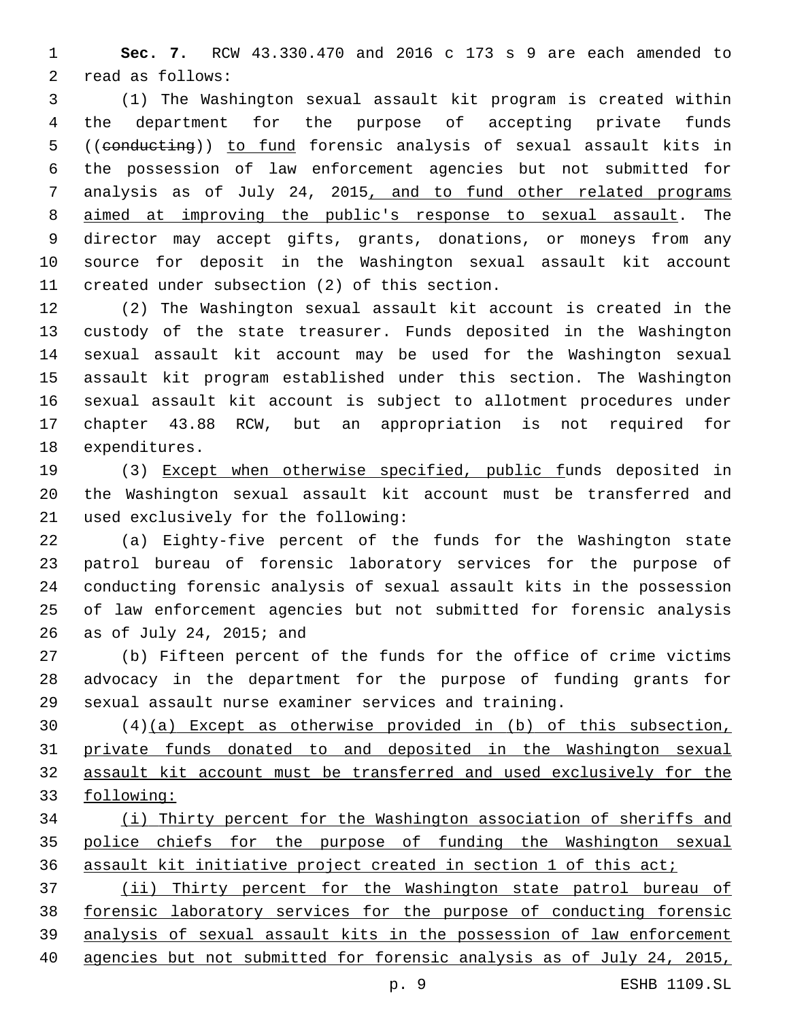**Sec. 7.** RCW 43.330.470 and 2016 c 173 s 9 are each amended to 2 read as follows:

 (1) The Washington sexual assault kit program is created within the department for the purpose of accepting private funds ((conducting)) to fund forensic analysis of sexual assault kits in the possession of law enforcement agencies but not submitted for analysis as of July 24, 2015, and to fund other related programs aimed at improving the public's response to sexual assault. The director may accept gifts, grants, donations, or moneys from any source for deposit in the Washington sexual assault kit account 11 created under subsection (2) of this section.

 (2) The Washington sexual assault kit account is created in the custody of the state treasurer. Funds deposited in the Washington sexual assault kit account may be used for the Washington sexual assault kit program established under this section. The Washington sexual assault kit account is subject to allotment procedures under chapter 43.88 RCW, but an appropriation is not required for 18 expenditures.

 (3) Except when otherwise specified, public funds deposited in the Washington sexual assault kit account must be transferred and 21 used exclusively for the following:

 (a) Eighty-five percent of the funds for the Washington state patrol bureau of forensic laboratory services for the purpose of conducting forensic analysis of sexual assault kits in the possession of law enforcement agencies but not submitted for forensic analysis 26 as of July 24, 2015; and

 (b) Fifteen percent of the funds for the office of crime victims advocacy in the department for the purpose of funding grants for sexual assault nurse examiner services and training.

 (4)(a) Except as otherwise provided in (b) of this subsection, private funds donated to and deposited in the Washington sexual assault kit account must be transferred and used exclusively for the following:

 (i) Thirty percent for the Washington association of sheriffs and police chiefs for the purpose of funding the Washington sexual assault kit initiative project created in section 1 of this act;

 (ii) Thirty percent for the Washington state patrol bureau of forensic laboratory services for the purpose of conducting forensic analysis of sexual assault kits in the possession of law enforcement agencies but not submitted for forensic analysis as of July 24, 2015,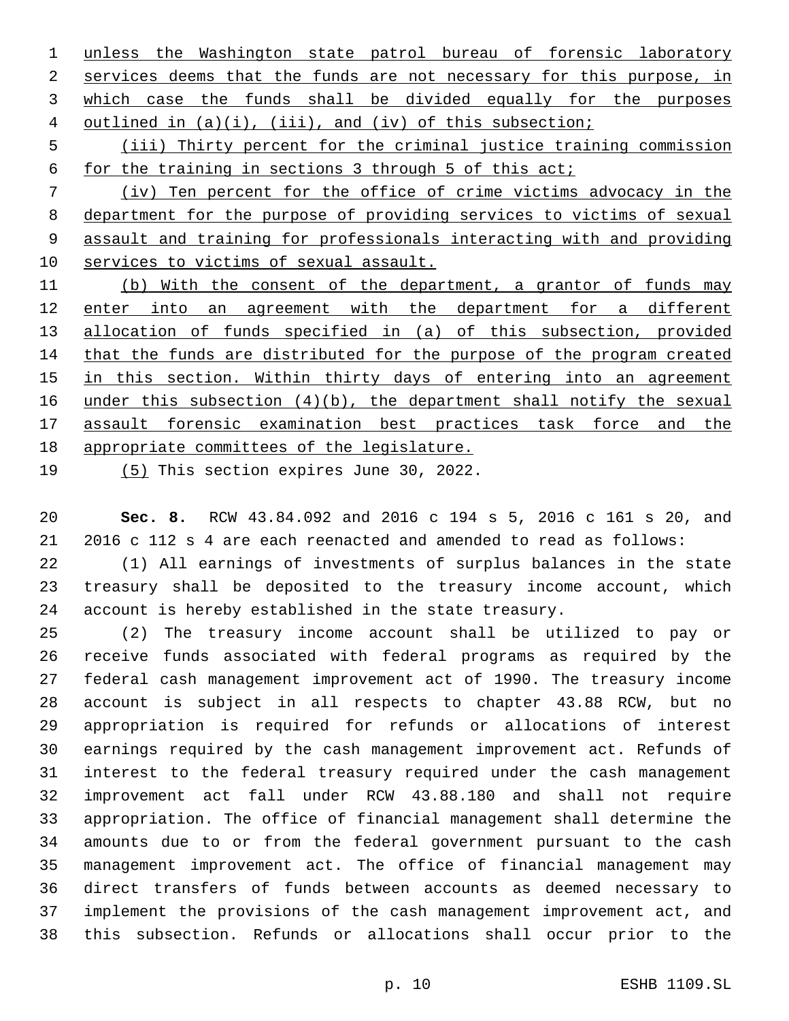unless the Washington state patrol bureau of forensic laboratory services deems that the funds are not necessary for this purpose, in which case the funds shall be divided equally for the purposes outlined in (a)(i), (iii), and (iv) of this subsection;

 (iii) Thirty percent for the criminal justice training commission for the training in sections 3 through 5 of this act;

 (iv) Ten percent for the office of crime victims advocacy in the department for the purpose of providing services to victims of sexual assault and training for professionals interacting with and providing services to victims of sexual assault.

 (b) With the consent of the department, a grantor of funds may enter into an agreement with the department for a different allocation of funds specified in (a) of this subsection, provided that the funds are distributed for the purpose of the program created in this section. Within thirty days of entering into an agreement 16 under this subsection  $(4)(b)$ , the department shall notify the sexual assault forensic examination best practices task force and the appropriate committees of the legislature.

 $(5)$  This section expires June 30, 2022.

 **Sec. 8.** RCW 43.84.092 and 2016 c 194 s 5, 2016 c 161 s 20, and 2016 c 112 s 4 are each reenacted and amended to read as follows:

 (1) All earnings of investments of surplus balances in the state treasury shall be deposited to the treasury income account, which account is hereby established in the state treasury.

 (2) The treasury income account shall be utilized to pay or receive funds associated with federal programs as required by the federal cash management improvement act of 1990. The treasury income account is subject in all respects to chapter 43.88 RCW, but no appropriation is required for refunds or allocations of interest earnings required by the cash management improvement act. Refunds of interest to the federal treasury required under the cash management improvement act fall under RCW 43.88.180 and shall not require appropriation. The office of financial management shall determine the amounts due to or from the federal government pursuant to the cash management improvement act. The office of financial management may direct transfers of funds between accounts as deemed necessary to implement the provisions of the cash management improvement act, and this subsection. Refunds or allocations shall occur prior to the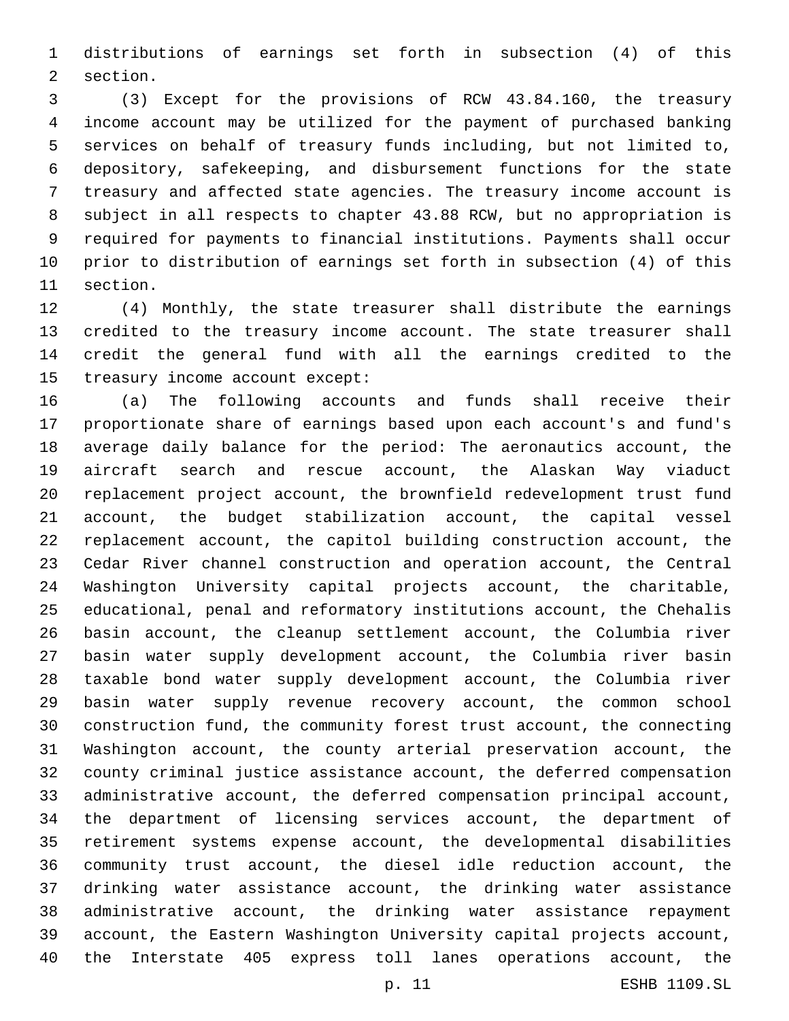distributions of earnings set forth in subsection (4) of this 2 section.

 (3) Except for the provisions of RCW 43.84.160, the treasury income account may be utilized for the payment of purchased banking services on behalf of treasury funds including, but not limited to, depository, safekeeping, and disbursement functions for the state treasury and affected state agencies. The treasury income account is subject in all respects to chapter 43.88 RCW, but no appropriation is required for payments to financial institutions. Payments shall occur prior to distribution of earnings set forth in subsection (4) of this 11 section.

 (4) Monthly, the state treasurer shall distribute the earnings credited to the treasury income account. The state treasurer shall credit the general fund with all the earnings credited to the 15 treasury income account except:

 (a) The following accounts and funds shall receive their proportionate share of earnings based upon each account's and fund's average daily balance for the period: The aeronautics account, the aircraft search and rescue account, the Alaskan Way viaduct replacement project account, the brownfield redevelopment trust fund account, the budget stabilization account, the capital vessel replacement account, the capitol building construction account, the Cedar River channel construction and operation account, the Central Washington University capital projects account, the charitable, educational, penal and reformatory institutions account, the Chehalis basin account, the cleanup settlement account, the Columbia river basin water supply development account, the Columbia river basin taxable bond water supply development account, the Columbia river basin water supply revenue recovery account, the common school construction fund, the community forest trust account, the connecting Washington account, the county arterial preservation account, the county criminal justice assistance account, the deferred compensation administrative account, the deferred compensation principal account, the department of licensing services account, the department of retirement systems expense account, the developmental disabilities community trust account, the diesel idle reduction account, the drinking water assistance account, the drinking water assistance administrative account, the drinking water assistance repayment account, the Eastern Washington University capital projects account, the Interstate 405 express toll lanes operations account, the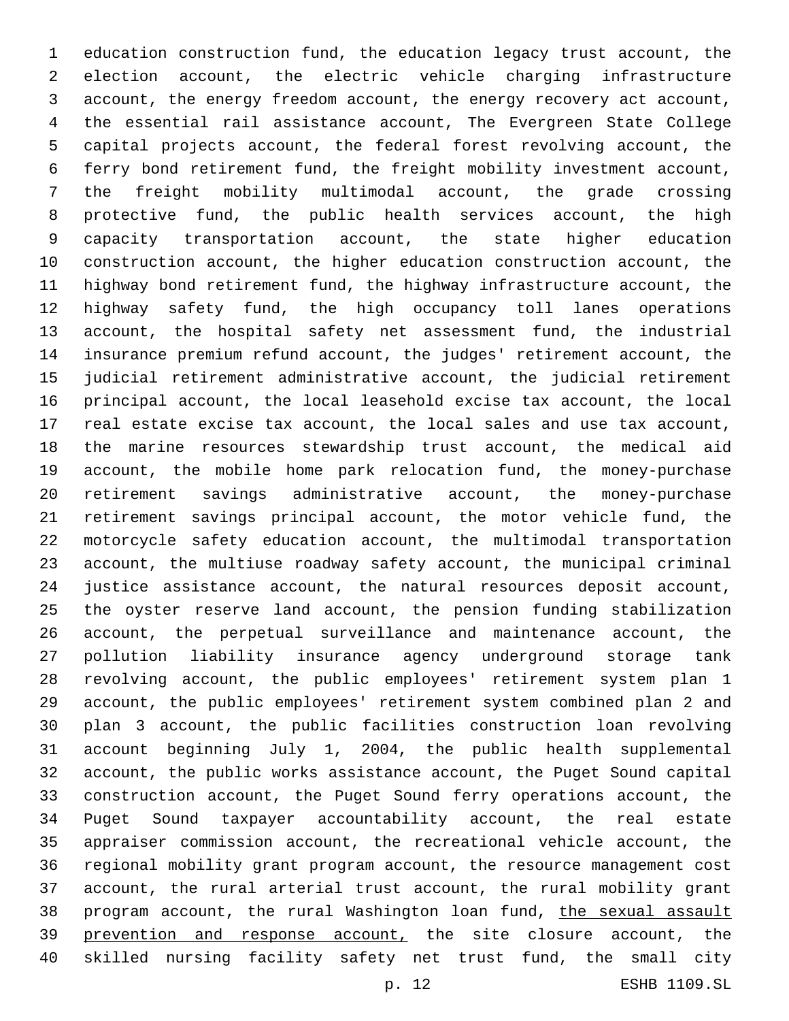education construction fund, the education legacy trust account, the election account, the electric vehicle charging infrastructure account, the energy freedom account, the energy recovery act account, the essential rail assistance account, The Evergreen State College capital projects account, the federal forest revolving account, the ferry bond retirement fund, the freight mobility investment account, the freight mobility multimodal account, the grade crossing protective fund, the public health services account, the high capacity transportation account, the state higher education construction account, the higher education construction account, the highway bond retirement fund, the highway infrastructure account, the highway safety fund, the high occupancy toll lanes operations account, the hospital safety net assessment fund, the industrial insurance premium refund account, the judges' retirement account, the judicial retirement administrative account, the judicial retirement principal account, the local leasehold excise tax account, the local real estate excise tax account, the local sales and use tax account, the marine resources stewardship trust account, the medical aid account, the mobile home park relocation fund, the money-purchase retirement savings administrative account, the money-purchase retirement savings principal account, the motor vehicle fund, the motorcycle safety education account, the multimodal transportation account, the multiuse roadway safety account, the municipal criminal justice assistance account, the natural resources deposit account, the oyster reserve land account, the pension funding stabilization account, the perpetual surveillance and maintenance account, the pollution liability insurance agency underground storage tank revolving account, the public employees' retirement system plan 1 account, the public employees' retirement system combined plan 2 and plan 3 account, the public facilities construction loan revolving account beginning July 1, 2004, the public health supplemental account, the public works assistance account, the Puget Sound capital construction account, the Puget Sound ferry operations account, the Puget Sound taxpayer accountability account, the real estate appraiser commission account, the recreational vehicle account, the regional mobility grant program account, the resource management cost account, the rural arterial trust account, the rural mobility grant 38 program account, the rural Washington loan fund, the sexual assault 39 prevention and response account, the site closure account, the skilled nursing facility safety net trust fund, the small city

p. 12 ESHB 1109.SL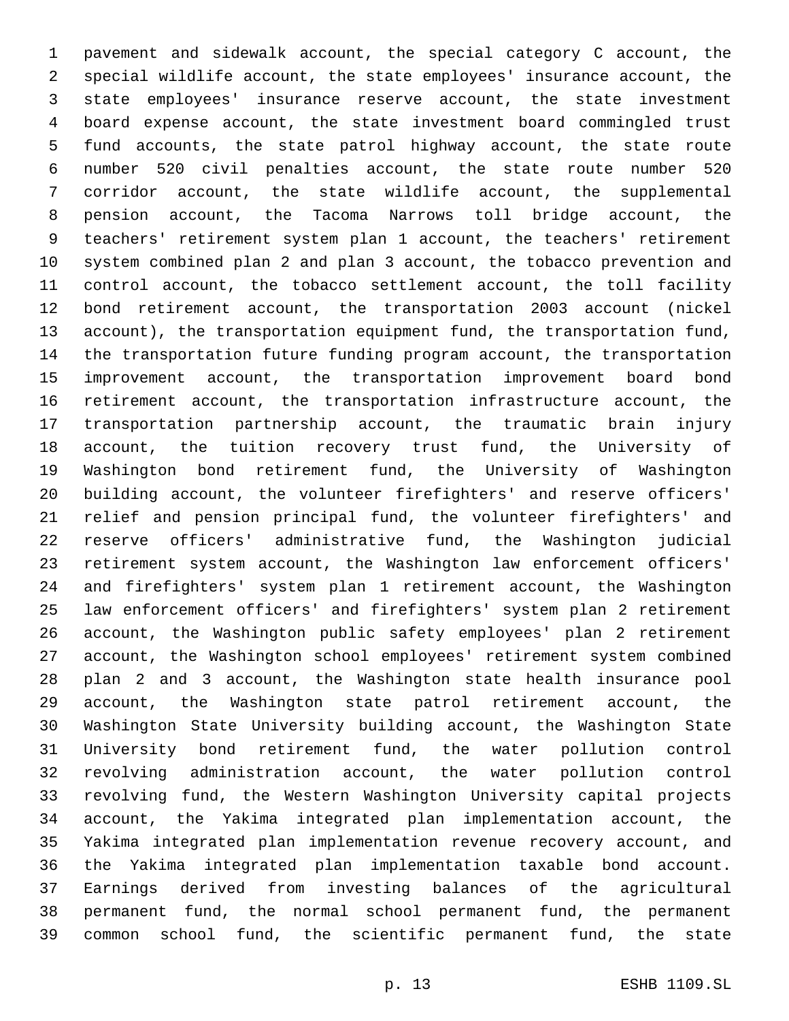pavement and sidewalk account, the special category C account, the special wildlife account, the state employees' insurance account, the state employees' insurance reserve account, the state investment board expense account, the state investment board commingled trust fund accounts, the state patrol highway account, the state route number 520 civil penalties account, the state route number 520 corridor account, the state wildlife account, the supplemental pension account, the Tacoma Narrows toll bridge account, the teachers' retirement system plan 1 account, the teachers' retirement system combined plan 2 and plan 3 account, the tobacco prevention and control account, the tobacco settlement account, the toll facility bond retirement account, the transportation 2003 account (nickel account), the transportation equipment fund, the transportation fund, the transportation future funding program account, the transportation improvement account, the transportation improvement board bond retirement account, the transportation infrastructure account, the transportation partnership account, the traumatic brain injury account, the tuition recovery trust fund, the University of Washington bond retirement fund, the University of Washington building account, the volunteer firefighters' and reserve officers' relief and pension principal fund, the volunteer firefighters' and reserve officers' administrative fund, the Washington judicial retirement system account, the Washington law enforcement officers' and firefighters' system plan 1 retirement account, the Washington law enforcement officers' and firefighters' system plan 2 retirement account, the Washington public safety employees' plan 2 retirement account, the Washington school employees' retirement system combined plan 2 and 3 account, the Washington state health insurance pool account, the Washington state patrol retirement account, the Washington State University building account, the Washington State University bond retirement fund, the water pollution control revolving administration account, the water pollution control revolving fund, the Western Washington University capital projects account, the Yakima integrated plan implementation account, the Yakima integrated plan implementation revenue recovery account, and the Yakima integrated plan implementation taxable bond account. Earnings derived from investing balances of the agricultural permanent fund, the normal school permanent fund, the permanent common school fund, the scientific permanent fund, the state